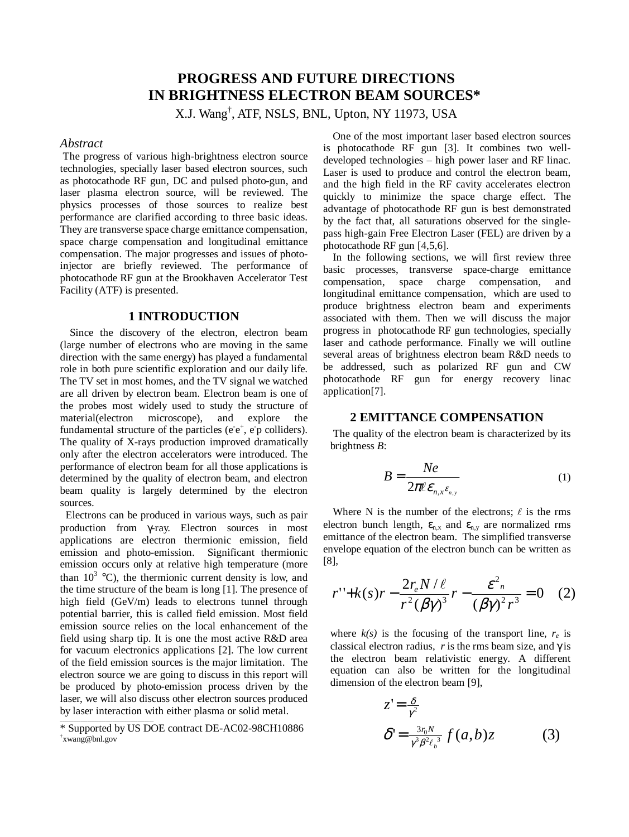# **PROGRESS AND FUTURE DIRECTIONS IN BRIGHTNESS ELECTRON BEAM SOURCES\***

X.J. Wang† , ATF, NSLS, BNL, Upton, NY 11973, USA

#### *Abstract*

The progress of various high-brightness electron source technologies, specially laser based electron sources, such as photocathode RF gun, DC and pulsed photo-gun, and laser plasma electron source, will be reviewed. The physics processes of those sources to realize best performance are clarified according to three basic ideas. They are transverse space charge emittance compensation, space charge compensation and longitudinal emittance compensation. The major progresses and issues of photoinjector are briefly reviewed. The performance of photocathode RF gun at the Brookhaven Accelerator Test Facility (ATF) is presented.

#### **1 INTRODUCTION**

Since the discovery of the electron, electron beam (large number of electrons who are moving in the same direction with the same energy) has played a fundamental role in both pure scientific exploration and our daily life. The TV set in most homes, and the TV signal we watched are all driven by electron beam. Electron beam is one of the probes most widely used to study the structure of material(electron microscope), and explore the fundamental structure of the particles ( $e^-e^+$ ,  $e^-p$  colliders). The quality of X-rays production improved dramatically only after the electron accelerators were introduced. The performance of electron beam for all those applications is determined by the quality of electron beam, and electron beam quality is largely determined by the electron sources.

Electrons can be produced in various ways, such as pair production from γ-ray. Electron sources in most applications are electron thermionic emission, field emission and photo-emission. Significant thermionic emission occurs only at relative high temperature (more than  $10^3$  °C), the thermionic current density is low, and the time structure of the beam is long [1]. The presence of high field (GeV/m) leads to electrons tunnel through potential barrier, this is called field emission. Most field emission source relies on the local enhancement of the field using sharp tip. It is one the most active R&D area for vacuum electronics applications [2]. The low current of the field emission sources is the major limitation. The electron source we are going to discuss in this report will be produced by photo-emission process driven by the laser, we will also discuss other electron sources produced by laser interaction with either plasma or solid metal.

One of the most important laser based electron sources is photocathode RF gun [3]. It combines two welldeveloped technologies – high power laser and RF linac. Laser is used to produce and control the electron beam, and the high field in the RF cavity accelerates electron quickly to minimize the space charge effect. The advantage of photocathode RF gun is best demonstrated by the fact that, all saturations observed for the singlepass high-gain Free Electron Laser (FEL) are driven by a photocathode RF gun [4,5,6].

In the following sections, we will first review three basic processes, transverse space-charge emittance compensation, space charge compensation, and longitudinal emittance compensation, which are used to produce brightness electron beam and experiments associated with them. Then we will discuss the major progress in photocathode RF gun technologies, specially laser and cathode performance. Finally we will outline several areas of brightness electron beam R&D needs to be addressed, such as polarized RF gun and CW photocathode RF gun for energy recovery linac application[7].

#### **2 EMITTANCE COMPENSATION**

The quality of the electron beam is characterized by its brightness *B*:

$$
B = \frac{Ne}{2\pi\ell\epsilon_{n,x}\epsilon_{n,y}}
$$
 (1)

Where N is the number of the electrons;  $\ell$  is the rms electron bunch length,  $\varepsilon_{n,x}$  and  $\varepsilon_{n,y}$  are normalized rms emittance of the electron beam. The simplified transverse envelope equation of the electron bunch can be written as [8],

$$
r'' + k(s)r - \frac{2r_e N/\ell}{r^2 (\beta \gamma)^3} r - \frac{\varepsilon^2}{(\beta \gamma)^2 r^3} = 0 \quad (2)
$$

where  $k(s)$  is the focusing of the transport line,  $r_e$  is classical electron radius, *r* is the rms beam size, and  $\gamma$  is the electron beam relativistic energy. A different equation can also be written for the longitudinal dimension of the electron beam [9],

$$
z' = \frac{\delta}{\gamma^2}
$$
  

$$
\delta' = \frac{3r_0 N}{\gamma^3 \beta^2 \ell_b^3} f(a, b) z
$$
 (3)

<sup>\*</sup> Supported by US DOE contract DE-AC02-98CH10886 † xwang@bnl.gov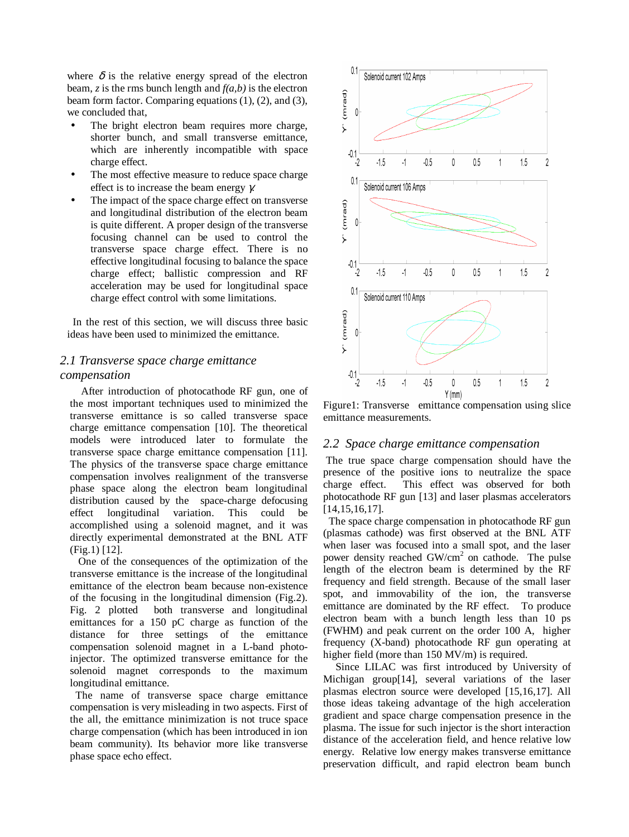where  $\delta$  is the relative energy spread of the electron beam, *z* is the rms bunch length and *f(a,b)* is the electron beam form factor. Comparing equations (1), (2), and (3), we concluded that,

- The bright electron beam requires more charge, shorter bunch, and small transverse emittance, which are inherently incompatible with space charge effect.
- The most effective measure to reduce space charge effect is to increase the beam energy γ*.*
- The impact of the space charge effect on transverse and longitudinal distribution of the electron beam is quite different. A proper design of the transverse focusing channel can be used to control the transverse space charge effect. There is no effective longitudinal focusing to balance the space charge effect; ballistic compression and RF acceleration may be used for longitudinal space charge effect control with some limitations.

In the rest of this section, we will discuss three basic ideas have been used to minimized the emittance.

# *2.1 Transverse space charge emittance compensation*

After introduction of photocathode RF gun, one of the most important techniques used to minimized the transverse emittance is so called transverse space charge emittance compensation [10]. The theoretical models were introduced later to formulate the transverse space charge emittance compensation [11]. The physics of the transverse space charge emittance compensation involves realignment of the transverse phase space along the electron beam longitudinal distribution caused by the space-charge defocusing effect longitudinal variation. This could be accomplished using a solenoid magnet, and it was directly experimental demonstrated at the BNL ATF (Fig.1) [12].

One of the consequences of the optimization of the transverse emittance is the increase of the longitudinal emittance of the electron beam because non-existence of the focusing in the longitudinal dimension (Fig.2). Fig. 2 plotted both transverse and longitudinal emittances for a 150 pC charge as function of the distance for three settings of the emittance compensation solenoid magnet in a L-band photoinjector. The optimized transverse emittance for the solenoid magnet corresponds to the maximum longitudinal emittance.

The name of transverse space charge emittance compensation is very misleading in two aspects. First of the all, the emittance minimization is not truce space charge compensation (which has been introduced in ion beam community). Its behavior more like transverse phase space echo effect.



Figure1: Transverse emittance compensation using slice emittance measurements.

#### *2.2 Space charge emittance compensation*

The true space charge compensation should have the presence of the positive ions to neutralize the space charge effect. This effect was observed for both photocathode RF gun [13] and laser plasmas accelerators [14,15,16,17].

The space charge compensation in photocathode RF gun (plasmas cathode) was first observed at the BNL ATF when laser was focused into a small spot, and the laser power density reached GW/cm<sup>2</sup> on cathode. The pulse length of the electron beam is determined by the RF frequency and field strength. Because of the small laser spot, and immovability of the ion, the transverse emittance are dominated by the RF effect. To produce electron beam with a bunch length less than 10 ps (FWHM) and peak current on the order 100 A, higher frequency (X-band) photocathode RF gun operating at higher field (more than 150 MV/m) is required.

Since LILAC was first introduced by University of Michigan group[14], several variations of the laser plasmas electron source were developed [15,16,17]. All those ideas takeing advantage of the high acceleration gradient and space charge compensation presence in the plasma. The issue for such injector is the short interaction distance of the acceleration field, and hence relative low energy. Relative low energy makes transverse emittance preservation difficult, and rapid electron beam bunch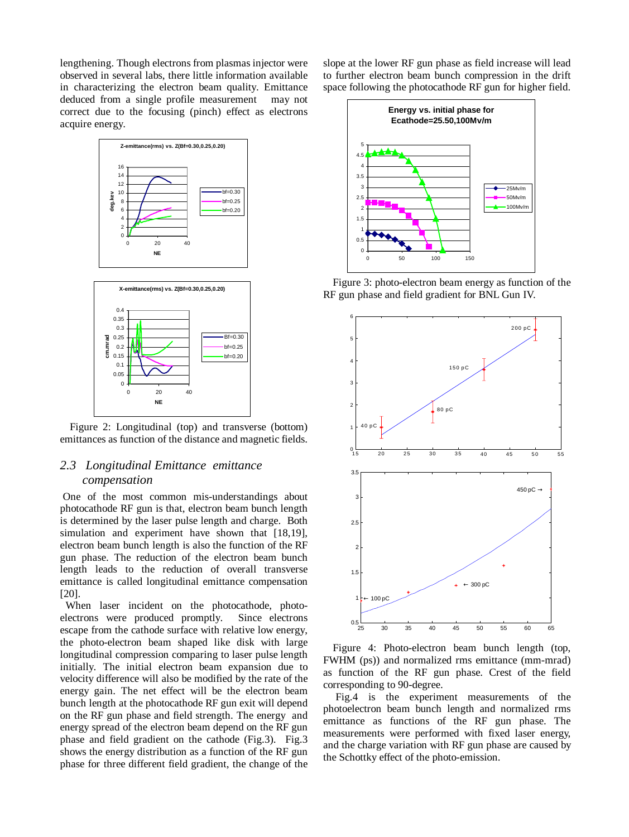lengthening. Though electrons from plasmas injector were observed in several labs, there little information available in characterizing the electron beam quality. Emittance deduced from a single profile measurement may not correct due to the focusing (pinch) effect as electrons acquire energy.



Figure 2: Longitudinal (top) and transverse (bottom) emittances as function of the distance and magnetic fields.

## *2.3 Longitudinal Emittance emittance compensation*

One of the most common mis-understandings about photocathode RF gun is that, electron beam bunch length is determined by the laser pulse length and charge. Both simulation and experiment have shown that [18,19], electron beam bunch length is also the function of the RF gun phase. The reduction of the electron beam bunch length leads to the reduction of overall transverse emittance is called longitudinal emittance compensation [20].

When laser incident on the photocathode, photoelectrons were produced promptly. Since electrons escape from the cathode surface with relative low energy, the photo-electron beam shaped like disk with large longitudinal compression comparing to laser pulse length initially. The initial electron beam expansion due to velocity difference will also be modified by the rate of the energy gain. The net effect will be the electron beam bunch length at the photocathode RF gun exit will depend on the RF gun phase and field strength. The energy and energy spread of the electron beam depend on the RF gun phase and field gradient on the cathode (Fig.3). Fig.3 shows the energy distribution as a function of the RF gun phase for three different field gradient, the change of the

slope at the lower RF gun phase as field increase will lead to further electron beam bunch compression in the drift space following the photocathode RF gun for higher field.



Figure 3: photo-electron beam energy as function of the RF gun phase and field gradient for BNL Gun IV.



Figure 4: Photo-electron beam bunch length (top, FWHM (ps)) and normalized rms emittance (mm-mrad) as function of the RF gun phase. Crest of the field corresponding to 90-degree.

Fig.4 is the experiment measurements of the photoelectron beam bunch length and normalized rms emittance as functions of the RF gun phase. The measurements were performed with fixed laser energy, and the charge variation with RF gun phase are caused by the Schottky effect of the photo-emission.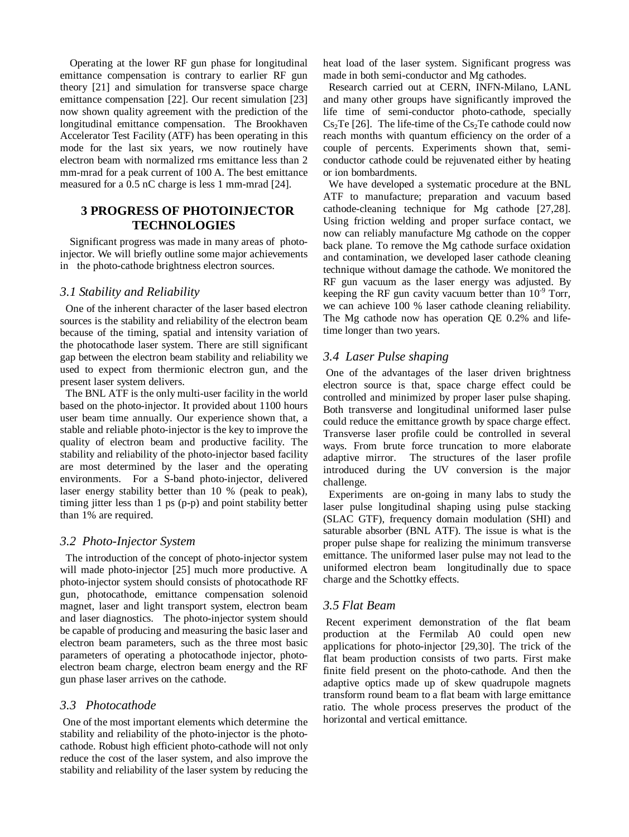Operating at the lower RF gun phase for longitudinal emittance compensation is contrary to earlier RF gun theory [21] and simulation for transverse space charge emittance compensation [22]. Our recent simulation [23] now shown quality agreement with the prediction of the longitudinal emittance compensation. The Brookhaven Accelerator Test Facility (ATF) has been operating in this mode for the last six years, we now routinely have electron beam with normalized rms emittance less than 2 mm-mrad for a peak current of 100 A. The best emittance measured for a 0.5 nC charge is less 1 mm-mrad [24].

# **3 PROGRESS OF PHOTOINJECTOR TECHNOLOGIES**

Significant progress was made in many areas of photoinjector. We will briefly outline some major achievements in the photo-cathode brightness electron sources.

## *3.1 Stability and Reliability*

One of the inherent character of the laser based electron sources is the stability and reliability of the electron beam because of the timing, spatial and intensity variation of the photocathode laser system. There are still significant gap between the electron beam stability and reliability we used to expect from thermionic electron gun, and the present laser system delivers.

The BNL ATF is the only multi-user facility in the world based on the photo-injector. It provided about 1100 hours user beam time annually. Our experience shown that, a stable and reliable photo-injector is the key to improve the quality of electron beam and productive facility. The stability and reliability of the photo-injector based facility are most determined by the laser and the operating environments. For a S-band photo-injector, delivered laser energy stability better than 10 % (peak to peak), timing jitter less than 1 ps (p-p) and point stability better than 1% are required.

### *3.2 Photo-Injector System*

The introduction of the concept of photo-injector system will made photo-injector [25] much more productive. A photo-injector system should consists of photocathode RF gun, photocathode, emittance compensation solenoid magnet, laser and light transport system, electron beam and laser diagnostics. The photo-injector system should be capable of producing and measuring the basic laser and electron beam parameters, such as the three most basic parameters of operating a photocathode injector, photoelectron beam charge, electron beam energy and the RF gun phase laser arrives on the cathode.

# *3.3 Photocathode*

One of the most important elements which determine the stability and reliability of the photo-injector is the photocathode. Robust high efficient photo-cathode will not only reduce the cost of the laser system, and also improve the stability and reliability of the laser system by reducing the

heat load of the laser system. Significant progress was made in both semi-conductor and Mg cathodes.

Research carried out at CERN, INFN-Milano, LANL and many other groups have significantly improved the life time of semi-conductor photo-cathode, specially  $Cs<sub>2</sub>Te$  [26]. The life-time of the  $Cs<sub>2</sub>Te$  cathode could now reach months with quantum efficiency on the order of a couple of percents. Experiments shown that, semiconductor cathode could be rejuvenated either by heating or ion bombardments.

We have developed a systematic procedure at the BNL ATF to manufacture; preparation and vacuum based cathode-cleaning technique for Mg cathode [27,28]. Using friction welding and proper surface contact, we now can reliably manufacture Mg cathode on the copper back plane. To remove the Mg cathode surface oxidation and contamination, we developed laser cathode cleaning technique without damage the cathode. We monitored the RF gun vacuum as the laser energy was adjusted. By keeping the RF gun cavity vacuum better than  $10^{-9}$  Torr, we can achieve 100 % laser cathode cleaning reliability. The Mg cathode now has operation QE 0.2% and lifetime longer than two years.

# *3.4 Laser Pulse shaping*

One of the advantages of the laser driven brightness electron source is that, space charge effect could be controlled and minimized by proper laser pulse shaping. Both transverse and longitudinal uniformed laser pulse could reduce the emittance growth by space charge effect. Transverse laser profile could be controlled in several ways. From brute force truncation to more elaborate adaptive mirror. The structures of the laser profile introduced during the UV conversion is the major challenge.

Experiments are on-going in many labs to study the laser pulse longitudinal shaping using pulse stacking (SLAC GTF), frequency domain modulation (SHI) and saturable absorber (BNL ATF). The issue is what is the proper pulse shape for realizing the minimum transverse emittance. The uniformed laser pulse may not lead to the uniformed electron beam longitudinally due to space charge and the Schottky effects.

# *3.5 Flat Beam*

Recent experiment demonstration of the flat beam production at the Fermilab A0 could open new applications for photo-injector [29,30]. The trick of the flat beam production consists of two parts. First make finite field present on the photo-cathode. And then the adaptive optics made up of skew quadrupole magnets transform round beam to a flat beam with large emittance ratio. The whole process preserves the product of the horizontal and vertical emittance.